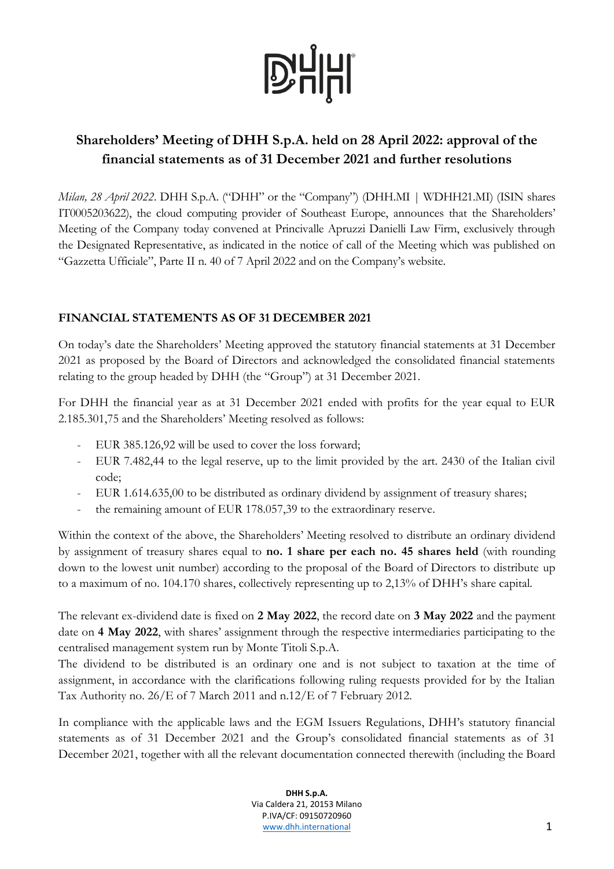

# **Shareholders' Meeting of DHH S.p.A. held on 28 April 2022: approval of the financial statements as of 31 December 2021 and further resolutions**

*Milan, 28 April 2022*. DHH S.p.A. ("DHH" or the "Company") (DHH.MI | WDHH21.MI) (ISIN shares IT0005203622), the cloud computing provider of Southeast Europe, announces that the Shareholders' Meeting of the Company today convened at Princivalle Apruzzi Danielli Law Firm, exclusively through the Designated Representative, as indicated in the notice of call of the Meeting which was published on "Gazzetta Ufficiale", Parte II n. 40 of 7 April 2022 and on the Company's website.

# **FINANCIAL STATEMENTS AS OF 31 DECEMBER 2021**

On today's date the Shareholders' Meeting approved the statutory financial statements at 31 December 2021 as proposed by the Board of Directors and acknowledged the consolidated financial statements relating to the group headed by DHH (the "Group") at 31 December 2021.

For DHH the financial year as at 31 December 2021 ended with profits for the year equal to EUR 2.185.301,75 and the Shareholders' Meeting resolved as follows:

- EUR 385.126,92 will be used to cover the loss forward;
- EUR 7.482,44 to the legal reserve, up to the limit provided by the art. 2430 of the Italian civil code;
- EUR 1.614.635,00 to be distributed as ordinary dividend by assignment of treasury shares;
- the remaining amount of EUR 178.057,39 to the extraordinary reserve.

Within the context of the above, the Shareholders' Meeting resolved to distribute an ordinary dividend by assignment of treasury shares equal to **no. 1 share per each no. 45 shares held** (with rounding down to the lowest unit number) according to the proposal of the Board of Directors to distribute up to a maximum of no. 104.170 shares, collectively representing up to 2,13% of DHH's share capital.

The relevant ex-dividend date is fixed on **2 May 2022**, the record date on **3 May 2022** and the payment date on **4 May 2022**, with shares' assignment through the respective intermediaries participating to the centralised management system run by Monte Titoli S.p.A.

The dividend to be distributed is an ordinary one and is not subject to taxation at the time of assignment, in accordance with the clarifications following ruling requests provided for by the Italian Tax Authority no. 26/E of 7 March 2011 and n.12/E of 7 February 2012.

In compliance with the applicable laws and the EGM Issuers Regulations, DHH's statutory financial statements as of 31 December 2021 and the Group's consolidated financial statements as of 31 December 2021, together with all the relevant documentation connected therewith (including the Board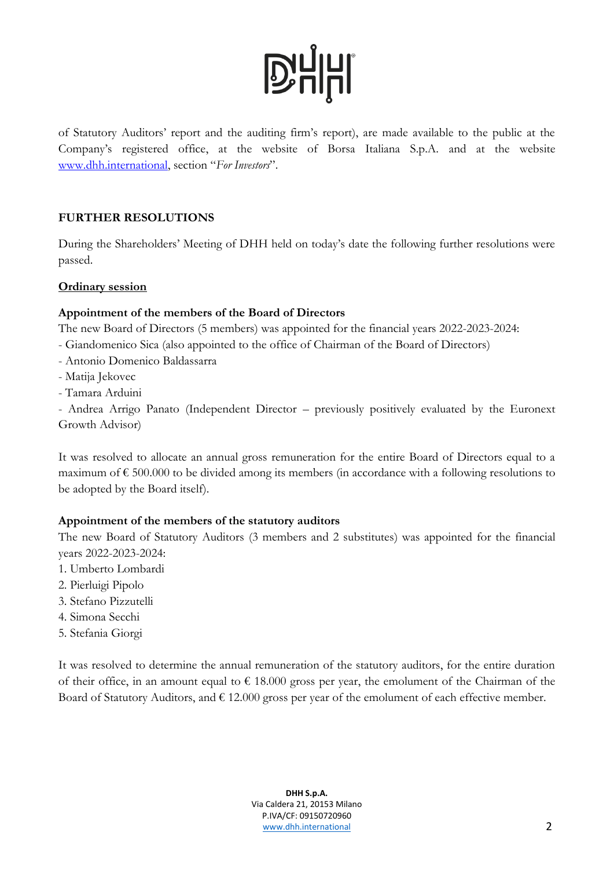# **D'HHI**

of Statutory Auditors' report and the auditing firm's report), are made available to the public at the Company's registered office, at the website of Borsa Italiana S.p.A. and at the website [www.dhh.international](http://www.dhh.international/), section "*For Investors*".

### **FURTHER RESOLUTIONS**

During the Shareholders' Meeting of DHH held on today's date the following further resolutions were passed.

### **Ordinary session**

# **Appointment of the members of the Board of Directors**

The new Board of Directors (5 members) was appointed for the financial years 2022-2023-2024:

- Giandomenico Sica (also appointed to the office of Chairman of the Board of Directors)
- Antonio Domenico Baldassarra
- Matija Jekovec
- Tamara Arduini

- Andrea Arrigo Panato (Independent Director – previously positively evaluated by the Euronext Growth Advisor)

It was resolved to allocate an annual gross remuneration for the entire Board of Directors equal to a maximum of € 500.000 to be divided among its members (in accordance with a following resolutions to be adopted by the Board itself).

# **Appointment of the members of the statutory auditors**

The new Board of Statutory Auditors (3 members and 2 substitutes) was appointed for the financial years 2022-2023-2024:

- 1. Umberto Lombardi
- 2. Pierluigi Pipolo
- 3. Stefano Pizzutelli
- 4. Simona Secchi
- 5. Stefania Giorgi

It was resolved to determine the annual remuneration of the statutory auditors, for the entire duration of their office, in an amount equal to  $\epsilon$  18.000 gross per year, the emolument of the Chairman of the Board of Statutory Auditors, and  $\epsilon$  12.000 gross per year of the emolument of each effective member.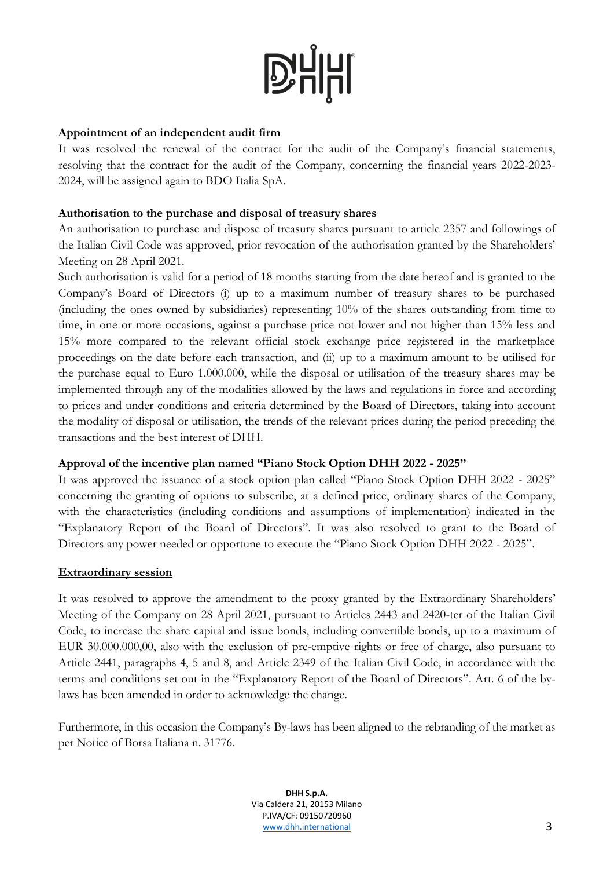# **D'HHI**

#### **Appointment of an independent audit firm**

It was resolved the renewal of the contract for the audit of the Company's financial statements, resolving that the contract for the audit of the Company, concerning the financial years 2022-2023- 2024, will be assigned again to BDO Italia SpA.

#### **Authorisation to the purchase and disposal of treasury shares**

An authorisation to purchase and dispose of treasury shares pursuant to article 2357 and followings of the Italian Civil Code was approved, prior revocation of the authorisation granted by the Shareholders' Meeting on 28 April 2021.

Such authorisation is valid for a period of 18 months starting from the date hereof and is granted to the Company's Board of Directors (i) up to a maximum number of treasury shares to be purchased (including the ones owned by subsidiaries) representing 10% of the shares outstanding from time to time, in one or more occasions, against a purchase price not lower and not higher than 15% less and 15% more compared to the relevant official stock exchange price registered in the marketplace proceedings on the date before each transaction, and (ii) up to a maximum amount to be utilised for the purchase equal to Euro 1.000.000, while the disposal or utilisation of the treasury shares may be implemented through any of the modalities allowed by the laws and regulations in force and according to prices and under conditions and criteria determined by the Board of Directors, taking into account the modality of disposal or utilisation, the trends of the relevant prices during the period preceding the transactions and the best interest of DHH.

#### **Approval of the incentive plan named "Piano Stock Option DHH 2022 - 2025"**

It was approved the issuance of a stock option plan called "Piano Stock Option DHH 2022 - 2025" concerning the granting of options to subscribe, at a defined price, ordinary shares of the Company, with the characteristics (including conditions and assumptions of implementation) indicated in the "Explanatory Report of the Board of Directors". It was also resolved to grant to the Board of Directors any power needed or opportune to execute the "Piano Stock Option DHH 2022 - 2025".

#### **Extraordinary session**

It was resolved to approve the amendment to the proxy granted by the Extraordinary Shareholders' Meeting of the Company on 28 April 2021, pursuant to Articles 2443 and 2420-ter of the Italian Civil Code, to increase the share capital and issue bonds, including convertible bonds, up to a maximum of EUR 30.000.000,00, also with the exclusion of pre-emptive rights or free of charge, also pursuant to Article 2441, paragraphs 4, 5 and 8, and Article 2349 of the Italian Civil Code, in accordance with the terms and conditions set out in the "Explanatory Report of the Board of Directors". Art. 6 of the bylaws has been amended in order to acknowledge the change.

Furthermore, in this occasion the Company's By-laws has been aligned to the rebranding of the market as per Notice of Borsa Italiana n. 31776.